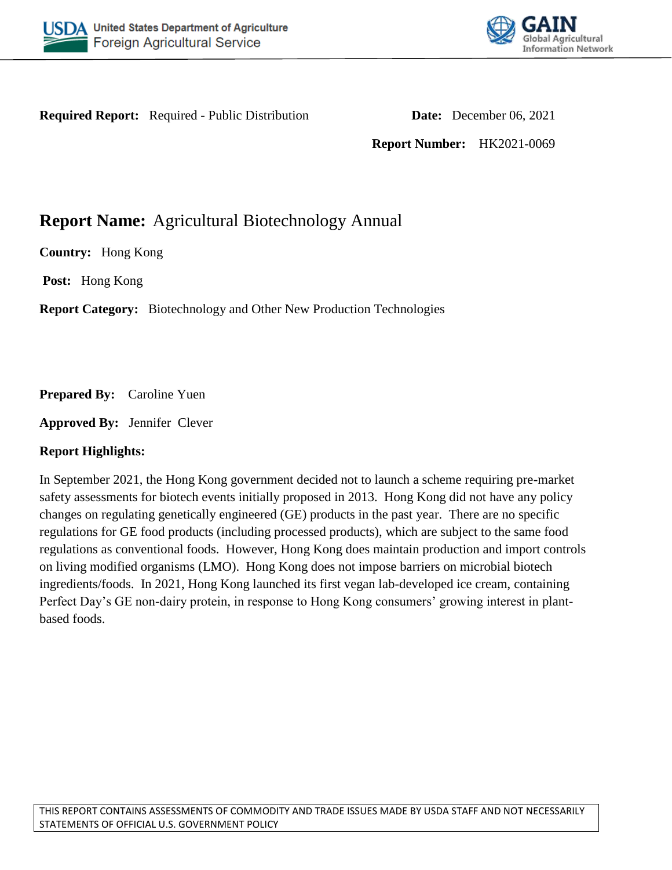



**Required Report:** Required - Public Distribution **Date:** December 06, 2021

**Report Number:** HK2021-0069

# **Report Name:** Agricultural Biotechnology Annual

**Country:** Hong Kong

**Post:** Hong Kong

**Report Category:** Biotechnology and Other New Production Technologies

**Prepared By:** Caroline Yuen

**Approved By:** Jennifer Clever

### **Report Highlights:**

In September 2021, the Hong Kong government decided not to launch a scheme requiring pre-market safety assessments for biotech events initially proposed in 2013. Hong Kong did not have any policy changes on regulating genetically engineered (GE) products in the past year. There are no specific regulations for GE food products (including processed products), which are subject to the same food regulations as conventional foods. However, Hong Kong does maintain production and import controls on living modified organisms (LMO). Hong Kong does not impose barriers on microbial biotech ingredients/foods. In 2021, Hong Kong launched its first vegan lab-developed ice cream, containing Perfect Day's GE non-dairy protein, in response to Hong Kong consumers' growing interest in plantbased foods.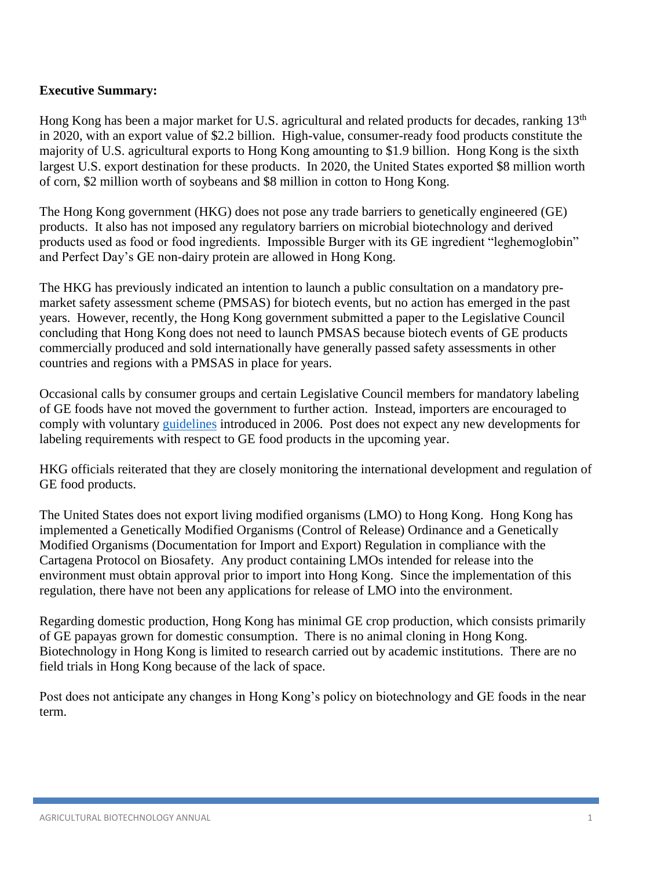### **Executive Summary:**

Hong Kong has been a major market for U.S. agricultural and related products for decades, ranking 13<sup>th</sup> in 2020, with an export value of \$2.2 billion. High-value, consumer-ready food products constitute the majority of U.S. agricultural exports to Hong Kong amounting to \$1.9 billion. Hong Kong is the sixth largest U.S. export destination for these products. In 2020, the United States exported \$8 million worth of corn, \$2 million worth of soybeans and \$8 million in cotton to Hong Kong.

The Hong Kong government (HKG) does not pose any trade barriers to genetically engineered (GE) products. It also has not imposed any regulatory barriers on microbial biotechnology and derived products used as food or food ingredients. Impossible Burger with its GE ingredient "leghemoglobin" and Perfect Day's GE non-dairy protein are allowed in Hong Kong.

The HKG has previously indicated an intention to launch a public consultation on a mandatory premarket safety assessment scheme (PMSAS) for biotech events, but no action has emerged in the past years. However, recently, the Hong Kong government submitted a paper to the Legislative Council concluding that Hong Kong does not need to launch PMSAS because biotech events of GE products commercially produced and sold internationally have generally passed safety assessments in other countries and regions with a PMSAS in place for years.

Occasional calls by consumer groups and certain Legislative Council members for mandatory labeling of GE foods have not moved the government to further action. Instead, importers are encouraged to comply with voluntary [guidelines](https://apps.fas.usda.gov/gainfiles/200610/146249357.pdf) introduced in 2006. Post does not expect any new developments for labeling requirements with respect to GE food products in the upcoming year.

HKG officials reiterated that they are closely monitoring the international development and regulation of GE food products.

The United States does not export living modified organisms (LMO) to Hong Kong. Hong Kong has implemented a Genetically Modified Organisms (Control of Release) Ordinance and a Genetically Modified Organisms (Documentation for Import and Export) Regulation in compliance with the Cartagena Protocol on Biosafety. Any product containing LMOs intended for release into the environment must obtain approval prior to import into Hong Kong. Since the implementation of this regulation, there have not been any applications for release of LMO into the environment.

Regarding domestic production, Hong Kong has minimal GE crop production, which consists primarily of GE papayas grown for domestic consumption. There is no animal cloning in Hong Kong. Biotechnology in Hong Kong is limited to research carried out by academic institutions. There are no field trials in Hong Kong because of the lack of space.

Post does not anticipate any changes in Hong Kong's policy on biotechnology and GE foods in the near term.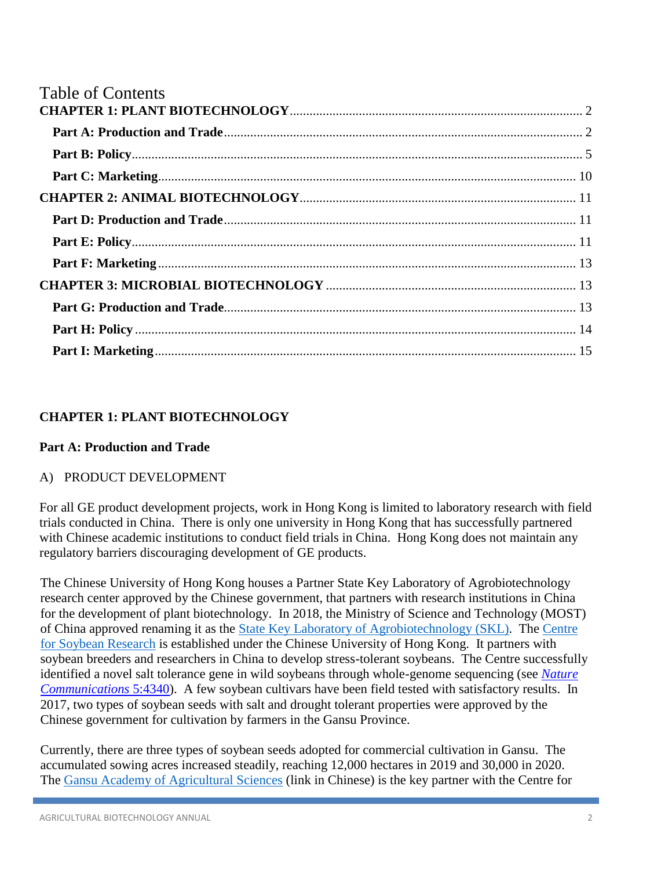| <b>Table of Contents</b> |  |
|--------------------------|--|
|                          |  |
|                          |  |
|                          |  |
|                          |  |
|                          |  |
|                          |  |
|                          |  |
|                          |  |
|                          |  |
|                          |  |
|                          |  |
|                          |  |

# <span id="page-2-0"></span>**CHAPTER 1: PLANT BIOTECHNOLOGY**

### <span id="page-2-1"></span>**Part A: Production and Trade**

### A) PRODUCT DEVELOPMENT

For all GE product development projects, work in Hong Kong is limited to laboratory research with field trials conducted in China. There is only one university in Hong Kong that has successfully partnered with Chinese academic institutions to conduct field trials in China. Hong Kong does not maintain any regulatory barriers discouraging development of GE products.

The Chinese University of Hong Kong houses a Partner State Key Laboratory of Agrobiotechnology research center approved by the Chinese government, that partners with research institutions in China for the development of plant biotechnology. In 2018, the Ministry of Science and Technology (MOST) of China approved renaming it as the [State Key Laboratory of Agrobiotechnology](https://skla.cuhk.edu.hk/?lang=) (SKL). The [Centre](https://csr.cuhk.edu.hk/about-us/)  [for Soybean Research](https://csr.cuhk.edu.hk/about-us/) is established under the Chinese University of Hong Kong. It partners with soybean breeders and researchers in China to develop stress-tolerant soybeans. The Centre successfully identified a novel salt tolerance gene in wild soybeans through whole-genome sequencing (see *[Nature](http://137.189.43.137:8080/Publications/GmCHX1%20Nat%20Commun%202014.pdf)  [Communications](http://137.189.43.137:8080/Publications/GmCHX1%20Nat%20Commun%202014.pdf)* 5:4340). A few soybean cultivars have been field tested with satisfactory results. In 2017, two types of soybean seeds with salt and drought tolerant properties were approved by the Chinese government for cultivation by farmers in the Gansu Province.

Currently, there are three types of soybean seeds adopted for commercial cultivation in Gansu. The accumulated sowing acres increased steadily, reaching 12,000 hectares in 2019 and 30,000 in 2020. The [Gansu Academy of Agricultural Sciences](http://www.gsagr.ac.cn/) (link in Chinese) is the key partner with the Centre for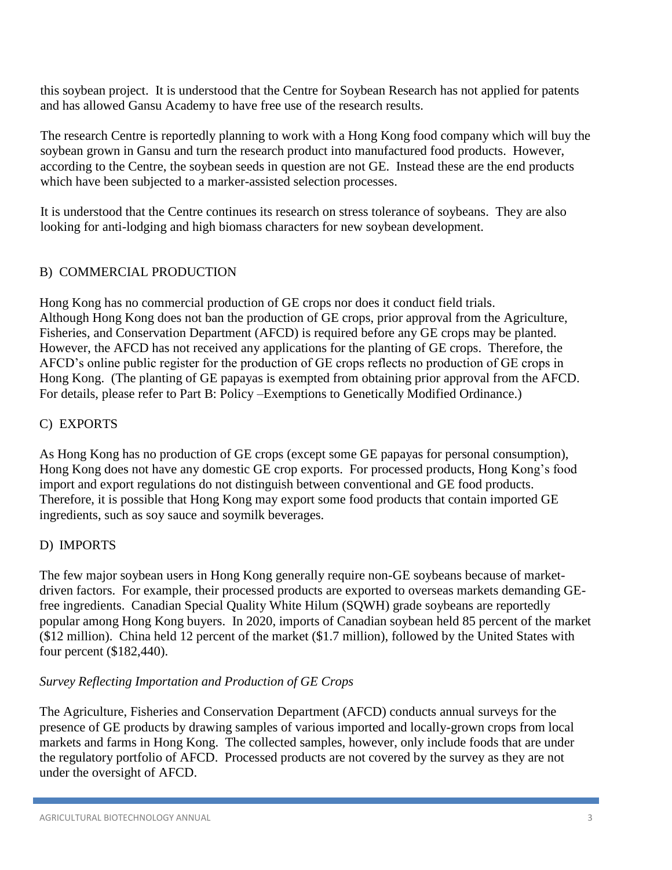this soybean project. It is understood that the Centre for Soybean Research has not applied for patents and has allowed Gansu Academy to have free use of the research results.

The research Centre is reportedly planning to work with a Hong Kong food company which will buy the soybean grown in Gansu and turn the research product into manufactured food products. However, according to the Centre, the soybean seeds in question are not GE. Instead these are the end products which have been subjected to a marker-assisted selection processes.

It is understood that the Centre continues its research on stress tolerance of soybeans. They are also looking for anti-lodging and high biomass characters for new soybean development.

### B) COMMERCIAL PRODUCTION

Hong Kong has no commercial production of GE crops nor does it conduct field trials. Although Hong Kong does not ban the production of GE crops, prior approval from the Agriculture, Fisheries, and Conservation Department (AFCD) is required before any GE crops may be planted. However, the AFCD has not received any applications for the planting of GE crops. Therefore, the AFCD's online public register for the production of GE crops reflects no production of GE crops in Hong Kong. (The planting of GE papayas is exempted from obtaining prior approval from the AFCD. For details, please refer to Part B: Policy –Exemptions to Genetically Modified Ordinance.)

#### C) EXPORTS

As Hong Kong has no production of GE crops (except some GE papayas for personal consumption), Hong Kong does not have any domestic GE crop exports. For processed products, Hong Kong's food import and export regulations do not distinguish between conventional and GE food products. Therefore, it is possible that Hong Kong may export some food products that contain imported GE ingredients, such as soy sauce and soymilk beverages.

#### D) IMPORTS

The few major soybean users in Hong Kong generally require non-GE soybeans because of marketdriven factors. For example, their processed products are exported to overseas markets demanding GEfree ingredients. Canadian Special Quality White Hilum (SQWH) grade soybeans are reportedly popular among Hong Kong buyers. In 2020, imports of Canadian soybean held 85 percent of the market (\$12 million). China held 12 percent of the market (\$1.7 million), followed by the United States with four percent (\$182,440).

### *Survey Reflecting Importation and Production of GE Crops*

The Agriculture, Fisheries and Conservation Department (AFCD) conducts annual surveys for the presence of GE products by drawing samples of various imported and locally-grown crops from local markets and farms in Hong Kong. The collected samples, however, only include foods that are under the regulatory portfolio of AFCD. Processed products are not covered by the survey as they are not under the oversight of AFCD.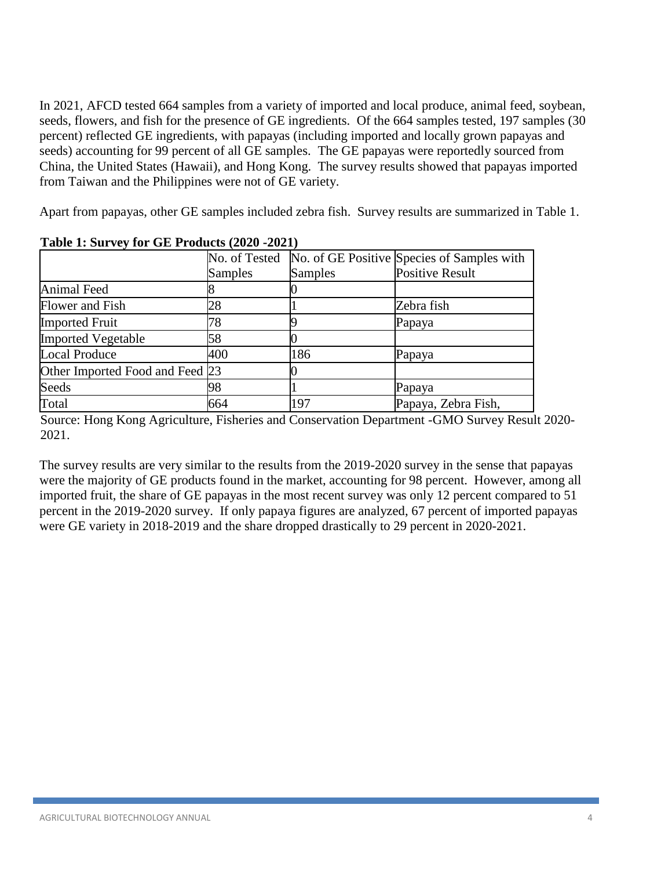In 2021, AFCD tested 664 samples from a variety of imported and local produce, animal feed, soybean, seeds, flowers, and fish for the presence of GE ingredients. Of the 664 samples tested, 197 samples (30 percent) reflected GE ingredients, with papayas (including imported and locally grown papayas and seeds) accounting for 99 percent of all GE samples. The GE papayas were reportedly sourced from China, the United States (Hawaii), and Hong Kong. The survey results showed that papayas imported from Taiwan and the Philippines were not of GE variety.

Apart from papayas, other GE samples included zebra fish. Survey results are summarized in Table 1.

| $1.0010$ 1.0 $0.101$ 1.0 $1.001$ 1.0 $0.000$ $(1.001)$ |                |         |                                                          |  |
|--------------------------------------------------------|----------------|---------|----------------------------------------------------------|--|
|                                                        |                |         | No. of Tested No. of GE Positive Species of Samples with |  |
|                                                        | <b>Samples</b> | Samples | <b>Positive Result</b>                                   |  |
| <b>Animal Feed</b>                                     |                |         |                                                          |  |
| Flower and Fish                                        | 28             |         | Zebra fish                                               |  |
| <b>Imported Fruit</b>                                  | 78             |         | Papaya                                                   |  |
| <b>Imported Vegetable</b>                              | 58             |         |                                                          |  |
| <b>Local Produce</b>                                   | 400            | 186     | Papaya                                                   |  |
| Other Imported Food and Feed 23                        |                |         |                                                          |  |
| Seeds                                                  | 98             |         | Papaya                                                   |  |
| Total                                                  | 664            | 197     | Papaya, Zebra Fish,                                      |  |

**Table 1: Survey for GE Products (2020 -2021)**

Source: Hong Kong Agriculture, Fisheries and Conservation Department -GMO Survey Result 2020- 2021.

The survey results are very similar to the results from the 2019-2020 survey in the sense that papayas were the majority of GE products found in the market, accounting for 98 percent. However, among all imported fruit, the share of GE papayas in the most recent survey was only 12 percent compared to 51 percent in the 2019-2020 survey. If only papaya figures are analyzed, 67 percent of imported papayas were GE variety in 2018-2019 and the share dropped drastically to 29 percent in 2020-2021.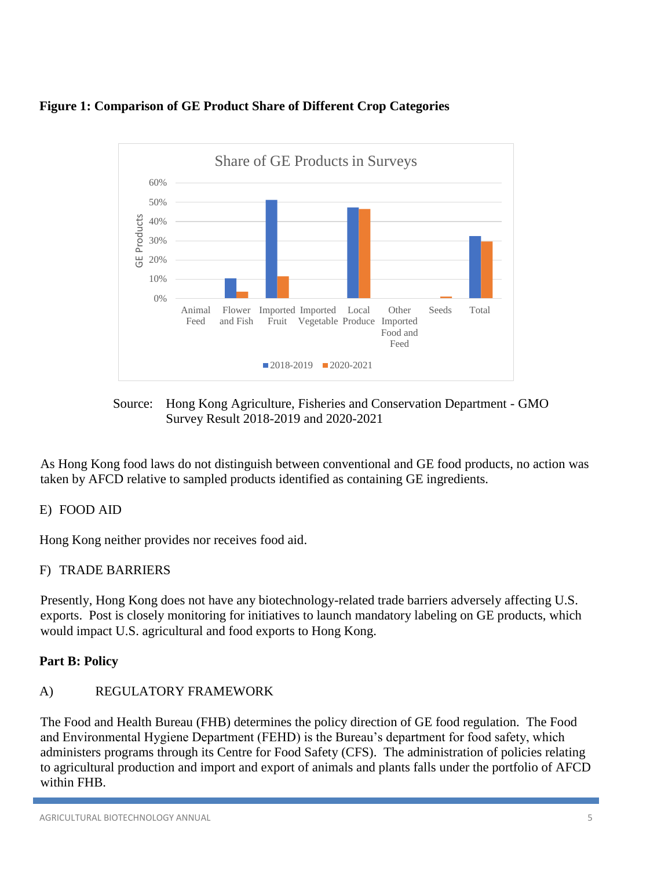



Source: Hong Kong Agriculture, Fisheries and Conservation Department - GMO Survey Result 2018-2019 and 2020-2021

As Hong Kong food laws do not distinguish between conventional and GE food products, no action was taken by AFCD relative to sampled products identified as containing GE ingredients.

# E) FOOD AID

Hong Kong neither provides nor receives food aid.

# F) TRADE BARRIERS

Presently, Hong Kong does not have any biotechnology-related trade barriers adversely affecting U.S. exports. Post is closely monitoring for initiatives to launch mandatory labeling on GE products, which would impact U.S. agricultural and food exports to Hong Kong.

# <span id="page-5-0"></span>**Part B: Policy**

# A) REGULATORY FRAMEWORK

The Food and Health Bureau (FHB) determines the policy direction of GE food regulation. The Food and Environmental Hygiene Department (FEHD) is the Bureau's department for food safety, which administers programs through its Centre for Food Safety (CFS). The administration of policies relating to agricultural production and import and export of animals and plants falls under the portfolio of AFCD within FHB.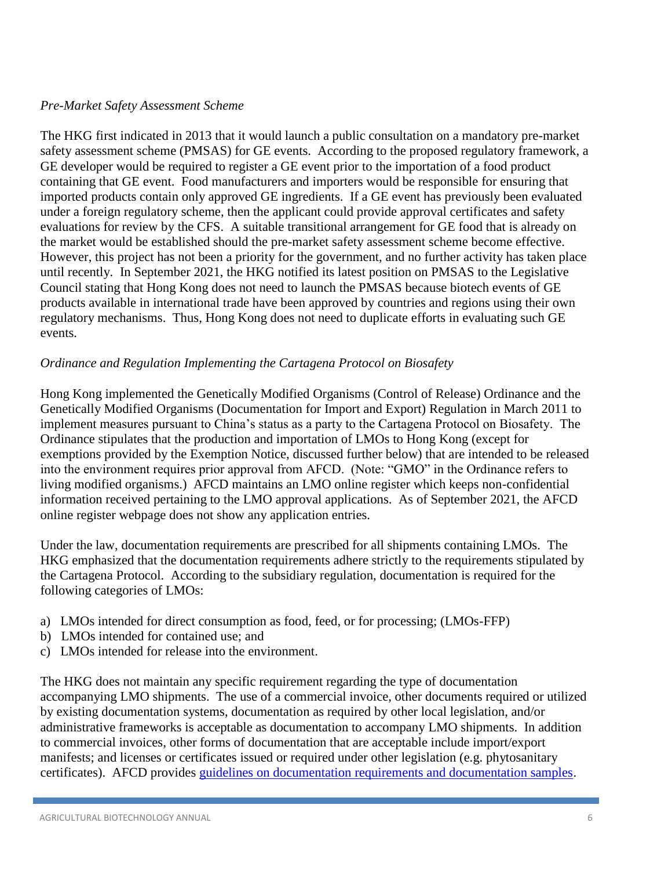#### *Pre-Market Safety Assessment Scheme*

The HKG first indicated in 2013 that it would launch a public consultation on a mandatory pre-market safety assessment scheme (PMSAS) for GE events. According to the proposed regulatory framework, a GE developer would be required to register a GE event prior to the importation of a food product containing that GE event. Food manufacturers and importers would be responsible for ensuring that imported products contain only approved GE ingredients. If a GE event has previously been evaluated under a foreign regulatory scheme, then the applicant could provide approval certificates and safety evaluations for review by the CFS. A suitable transitional arrangement for GE food that is already on the market would be established should the pre-market safety assessment scheme become effective. However, this project has not been a priority for the government, and no further activity has taken place until recently. In September 2021, the HKG notified its latest position on PMSAS to the Legislative Council stating that Hong Kong does not need to launch the PMSAS because biotech events of GE products available in international trade have been approved by countries and regions using their own regulatory mechanisms. Thus, Hong Kong does not need to duplicate efforts in evaluating such GE events.

### *Ordinance and Regulation Implementing the Cartagena Protocol on Biosafety*

Hong Kong implemented the Genetically Modified Organisms (Control of Release) Ordinance and the Genetically Modified Organisms (Documentation for Import and Export) Regulation in March 2011 to implement measures pursuant to China's status as a party to the Cartagena Protocol on Biosafety. The Ordinance stipulates that the production and importation of LMOs to Hong Kong (except for exemptions provided by the Exemption Notice, discussed further below) that are intended to be released into the environment requires prior approval from AFCD. (Note: "GMO" in the Ordinance refers to living modified organisms.) AFCD maintains an LMO online register which keeps non-confidential information received pertaining to the LMO approval applications. As of September 2021, the AFCD online register webpage does not show any application entries.

Under the law, documentation requirements are prescribed for all shipments containing LMOs. The HKG emphasized that the documentation requirements adhere strictly to the requirements stipulated by the Cartagena Protocol. According to the subsidiary regulation, documentation is required for the following categories of LMOs:

- a) LMOs intended for direct consumption as food, feed, or for processing; (LMOs-FFP)
- b) LMOs intended for contained use; and
- c) LMOs intended for release into the environment.

The HKG does not maintain any specific requirement regarding the type of documentation accompanying LMO shipments. The use of a commercial invoice, other documents required or utilized by existing documentation systems, documentation as required by other local legislation, and/or administrative frameworks is acceptable as documentation to accompany LMO shipments. In addition to commercial invoices, other forms of documentation that are acceptable include import/export manifests; and licenses or certificates issued or required under other legislation (e.g. phytosanitary certificates). AFCD provides [guidelines on documentation requirements and documentation samples.](http://www.afcd.gov.hk/english/conservation/con_gmo/guidelines/gmo_doc_gui.html)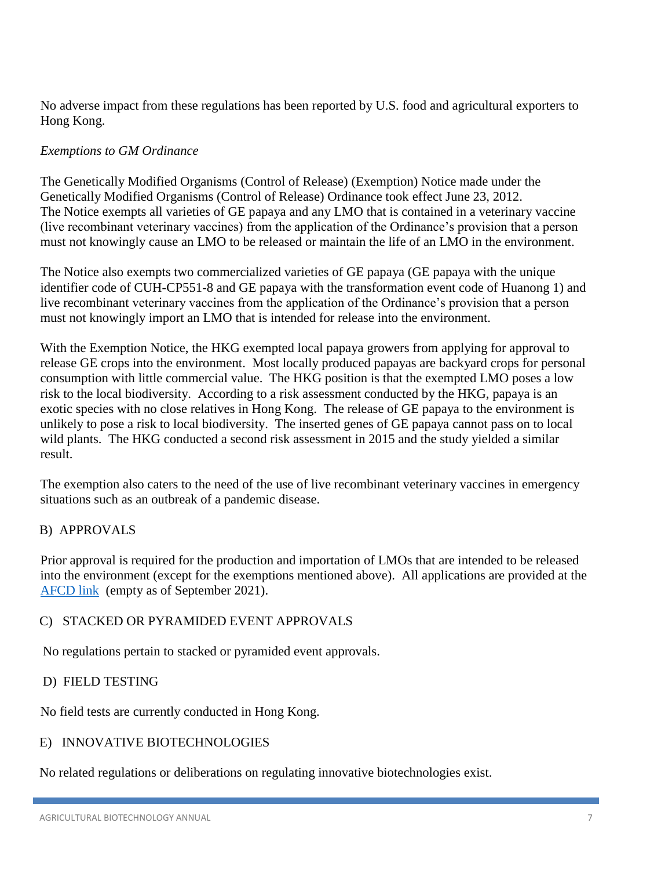No adverse impact from these regulations has been reported by U.S. food and agricultural exporters to Hong Kong.

### *Exemptions to GM Ordinance*

The Genetically Modified Organisms (Control of Release) (Exemption) Notice made under the Genetically Modified Organisms (Control of Release) Ordinance took effect June 23, 2012. The Notice exempts all varieties of GE papaya and any LMO that is contained in a veterinary vaccine (live recombinant veterinary vaccines) from the application of the Ordinance's provision that a person must not knowingly cause an LMO to be released or maintain the life of an LMO in the environment.

The Notice also exempts two commercialized varieties of GE papaya (GE papaya with the unique identifier code of CUH-CP551-8 and GE papaya with the transformation event code of Huanong 1) and live recombinant veterinary vaccines from the application of the Ordinance's provision that a person must not knowingly import an LMO that is intended for release into the environment.

With the Exemption Notice, the HKG exempted local papaya growers from applying for approval to release GE crops into the environment. Most locally produced papayas are backyard crops for personal consumption with little commercial value. The HKG position is that the exempted LMO poses a low risk to the local biodiversity. According to a risk assessment conducted by the HKG, papaya is an exotic species with no close relatives in Hong Kong. The release of GE papaya to the environment is unlikely to pose a risk to local biodiversity. The inserted genes of GE papaya cannot pass on to local wild plants. The HKG conducted a second risk assessment in 2015 and the study yielded a similar result.

The exemption also caters to the need of the use of live recombinant veterinary vaccines in emergency situations such as an outbreak of a pandemic disease.

### B) APPROVALS

Prior approval is required for the production and importation of LMOs that are intended to be released into the environment (except for the exemptions mentioned above). All applications are provided at the [AFCD link](https://www.afcd.gov.hk/english/conservation/con_gmo/Genetically_Modified_Organisms_Register/Applications.html) (empty as of September 2021).

### C) STACKED OR PYRAMIDED EVENT APPROVALS

No regulations pertain to stacked or pyramided event approvals.

### D) FIELD TESTING

No field tests are currently conducted in Hong Kong.

### E) INNOVATIVE BIOTECHNOLOGIES

No related regulations or deliberations on regulating innovative biotechnologies exist.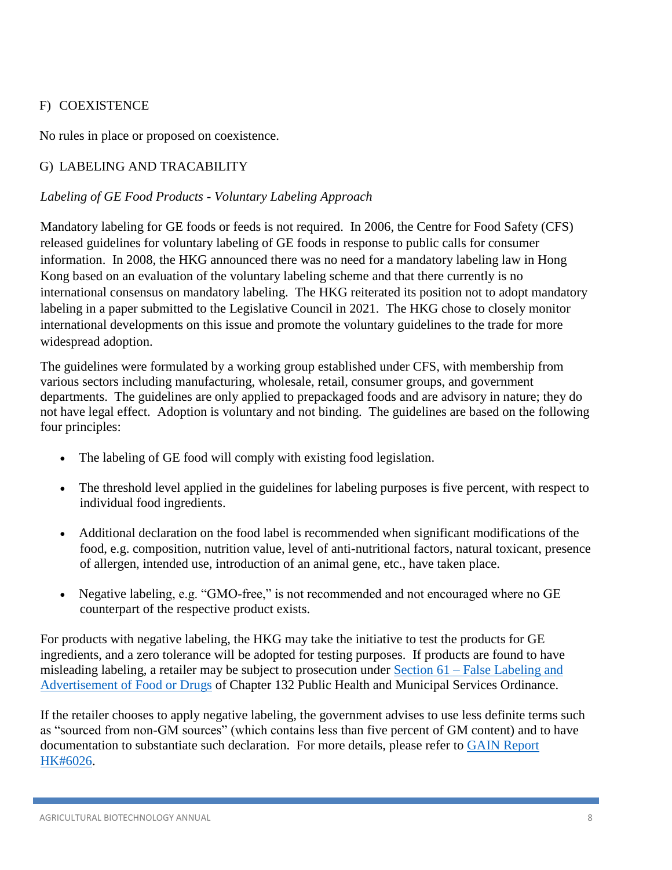### F) COEXISTENCE

No rules in place or proposed on coexistence.

# G) LABELING AND TRACABILITY

### *Labeling of GE Food Products - Voluntary Labeling Approach*

Mandatory labeling for GE foods or feeds is not required. In 2006, the Centre for Food Safety (CFS) released guidelines for voluntary labeling of GE foods in response to public calls for consumer information. In 2008, the HKG announced there was no need for a mandatory labeling law in Hong Kong based on an evaluation of the voluntary labeling scheme and that there currently is no international consensus on mandatory labeling. The HKG reiterated its position not to adopt mandatory labeling in a paper submitted to the Legislative Council in 2021. The HKG chose to closely monitor international developments on this issue and promote the voluntary guidelines to the trade for more widespread adoption.

The guidelines were formulated by a working group established under CFS, with membership from various sectors including manufacturing, wholesale, retail, consumer groups, and government departments. The guidelines are only applied to prepackaged foods and are advisory in nature; they do not have legal effect. Adoption is voluntary and not binding. The guidelines are based on the following four principles:

- The labeling of GE food will comply with existing food legislation.
- The threshold level applied in the guidelines for labeling purposes is five percent, with respect to individual food ingredients.
- Additional declaration on the food label is recommended when significant modifications of the food, e.g. composition, nutrition value, level of anti-nutritional factors, natural toxicant, presence of allergen, intended use, introduction of an animal gene, etc., have taken place.
- Negative labeling, e.g. "GMO-free," is not recommended and not encouraged where no GE counterpart of the respective product exists.

For products with negative labeling, the HKG may take the initiative to test the products for GE ingredients, and a zero tolerance will be adopted for testing purposes. If products are found to have misleading labeling, a retailer may be subject to prosecution under Section 61 – False Labeling and [Advertisement of Food or Drugs](https://www.cfs.gov.hk/english/food_leg/food_leg_part5.html#section61) of Chapter 132 Public Health and Municipal Services Ordinance.

If the retailer chooses to apply negative labeling, the government advises to use less definite terms such as "sourced from non-GM sources" (which contains less than five percent of GM content) and to have documentation to substantiate such declaration. For more details, please refer to [GAIN Report](https://apps.fas.usda.gov/gainfiles/200610/146249357.pdf)  [HK#6026.](https://apps.fas.usda.gov/gainfiles/200610/146249357.pdf)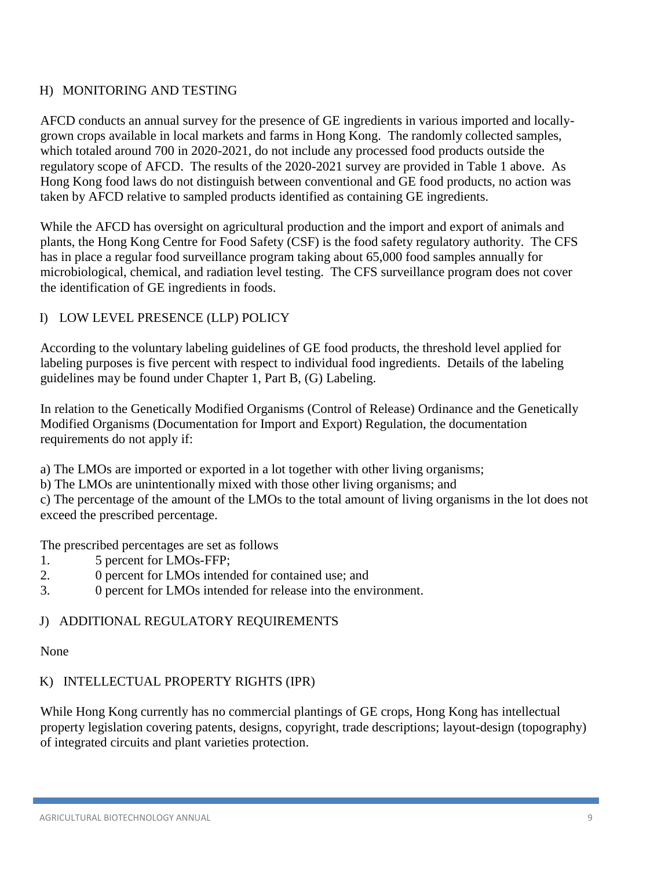### H) MONITORING AND TESTING

AFCD conducts an annual survey for the presence of GE ingredients in various imported and locallygrown crops available in local markets and farms in Hong Kong. The randomly collected samples, which totaled around 700 in 2020-2021, do not include any processed food products outside the regulatory scope of AFCD. The results of the 2020-2021 survey are provided in Table 1 above. As Hong Kong food laws do not distinguish between conventional and GE food products, no action was taken by AFCD relative to sampled products identified as containing GE ingredients.

While the AFCD has oversight on agricultural production and the import and export of animals and plants, the Hong Kong Centre for Food Safety (CSF) is the food safety regulatory authority. The CFS has in place a regular food surveillance program taking about 65,000 food samples annually for microbiological, chemical, and radiation level testing. The CFS surveillance program does not cover the identification of GE ingredients in foods.

### I) LOW LEVEL PRESENCE (LLP) POLICY

According to the voluntary labeling guidelines of GE food products, the threshold level applied for labeling purposes is five percent with respect to individual food ingredients. Details of the labeling guidelines may be found under Chapter 1, Part B, (G) Labeling.

In relation to the Genetically Modified Organisms (Control of Release) Ordinance and the Genetically Modified Organisms (Documentation for Import and Export) Regulation, the documentation requirements do not apply if:

a) The LMOs are imported or exported in a lot together with other living organisms;

b) The LMOs are unintentionally mixed with those other living organisms; and

c) The percentage of the amount of the LMOs to the total amount of living organisms in the lot does not exceed the prescribed percentage.

The prescribed percentages are set as follows

- 1. 5 percent for LMOs-FFP;
- 2. 0 percent for LMOs intended for contained use; and
- 3. 0 percent for LMOs intended for release into the environment.

### J) ADDITIONAL REGULATORY REQUIREMENTS

None

### K) INTELLECTUAL PROPERTY RIGHTS (IPR)

While Hong Kong currently has no commercial plantings of GE crops, Hong Kong has intellectual property legislation covering patents, designs, copyright, trade descriptions; layout-design (topography) of integrated circuits and plant varieties protection.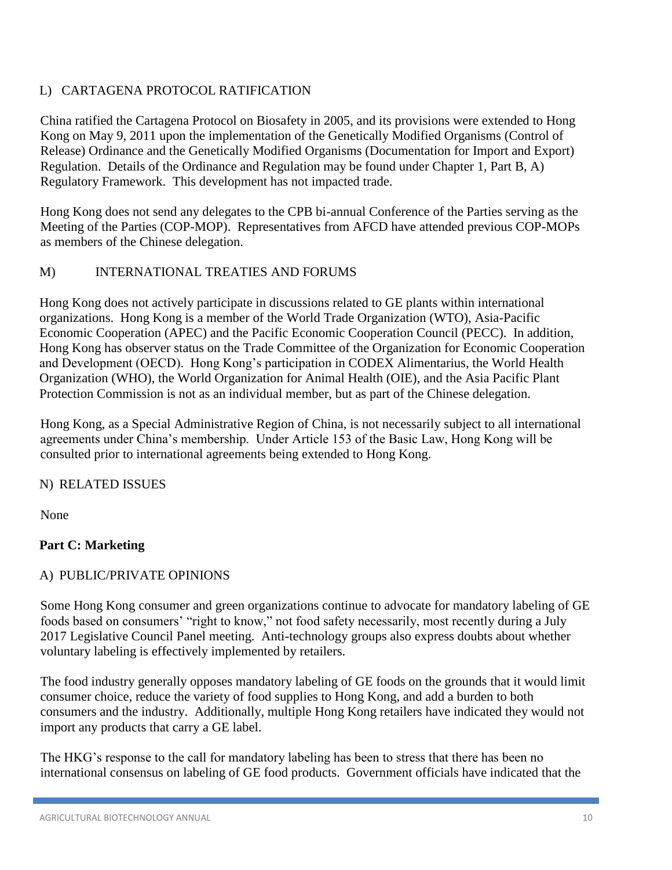# L) CARTAGENA PROTOCOL RATIFICATION

China ratified the Cartagena Protocol on Biosafety in 2005, and its provisions were extended to Hong Kong on May 9, 2011 upon the implementation of the Genetically Modified Organisms (Control of Release) Ordinance and the Genetically Modified Organisms (Documentation for Import and Export) Regulation. Details of the Ordinance and Regulation may be found under Chapter 1, Part B, A) Regulatory Framework. This development has not impacted trade.

Hong Kong does not send any delegates to the CPB bi-annual Conference of the Parties serving as the Meeting of the Parties (COP-MOP). Representatives from AFCD have attended previous COP-MOPs as members of the Chinese delegation.

### M) INTERNATIONAL TREATIES AND FORUMS

Hong Kong does not actively participate in discussions related to GE plants within international organizations. Hong Kong is a member of the World Trade Organization (WTO), Asia-Pacific Economic Cooperation (APEC) and the Pacific Economic Cooperation Council (PECC). In addition, Hong Kong has observer status on the Trade Committee of the Organization for Economic Cooperation and Development (OECD). Hong Kong's participation in CODEX Alimentarius, the World Health Organization (WHO), the World Organization for Animal Health (OIE), and the Asia Pacific Plant Protection Commission is not as an individual member, but as part of the Chinese delegation.

Hong Kong, as a Special Administrative Region of China, is not necessarily subject to all international agreements under China's membership. Under Article 153 of the Basic Law, Hong Kong will be consulted prior to international agreements being extended to Hong Kong.

### N) RELATED ISSUES

None

# <span id="page-10-0"></span>**Part C: Marketing**

### A) PUBLIC/PRIVATE OPINIONS

Some Hong Kong consumer and green organizations continue to advocate for mandatory labeling of GE foods based on consumers' "right to know," not food safety necessarily, most recently during a July 2017 Legislative Council Panel meeting. Anti-technology groups also express doubts about whether voluntary labeling is effectively implemented by retailers.

The food industry generally opposes mandatory labeling of GE foods on the grounds that it would limit consumer choice, reduce the variety of food supplies to Hong Kong, and add a burden to both consumers and the industry. Additionally, multiple Hong Kong retailers have indicated they would not import any products that carry a GE label.

The HKG's response to the call for mandatory labeling has been to stress that there has been no international consensus on labeling of GE food products. Government officials have indicated that the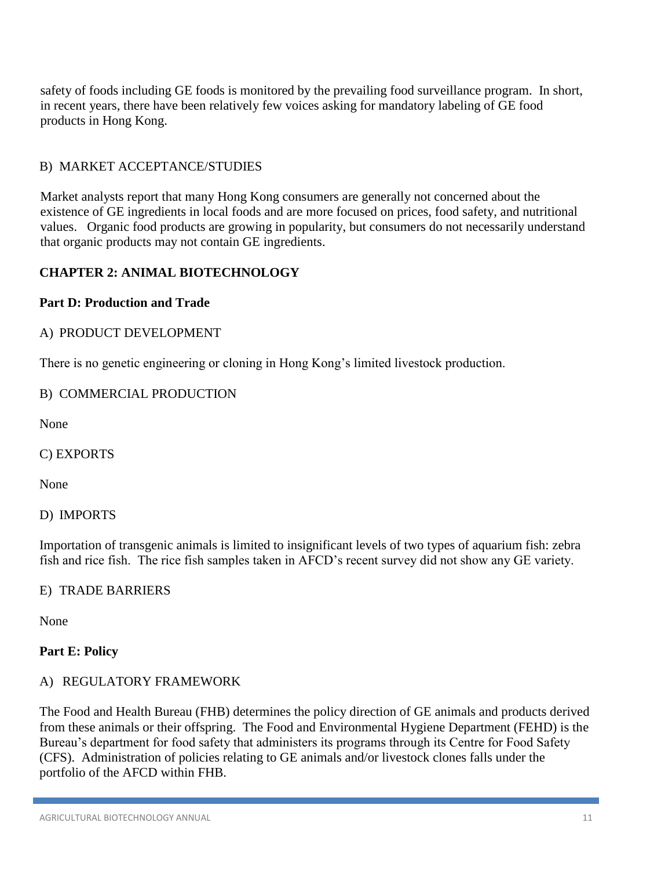safety of foods including GE foods is monitored by the prevailing food surveillance program. In short, in recent years, there have been relatively few voices asking for mandatory labeling of GE food products in Hong Kong.

### B) MARKET ACCEPTANCE/STUDIES

Market analysts report that many Hong Kong consumers are generally not concerned about the existence of GE ingredients in local foods and are more focused on prices, food safety, and nutritional values. Organic food products are growing in popularity, but consumers do not necessarily understand that organic products may not contain GE ingredients.

### <span id="page-11-0"></span>**CHAPTER 2: ANIMAL BIOTECHNOLOGY**

#### <span id="page-11-1"></span>**Part D: Production and Trade**

#### A) PRODUCT DEVELOPMENT

There is no genetic engineering or cloning in Hong Kong's limited livestock production.

#### B) COMMERCIAL PRODUCTION

None

C) EXPORTS

None

D) IMPORTS

Importation of transgenic animals is limited to insignificant levels of two types of aquarium fish: zebra fish and rice fish. The rice fish samples taken in AFCD's recent survey did not show any GE variety.

#### E) TRADE BARRIERS

None

### <span id="page-11-2"></span>**Part E: Policy**

#### A) REGULATORY FRAMEWORK

The Food and Health Bureau (FHB) determines the policy direction of GE animals and products derived from these animals or their offspring. The Food and Environmental Hygiene Department (FEHD) is the Bureau's department for food safety that administers its programs through its Centre for Food Safety (CFS). Administration of policies relating to GE animals and/or livestock clones falls under the portfolio of the AFCD within FHB.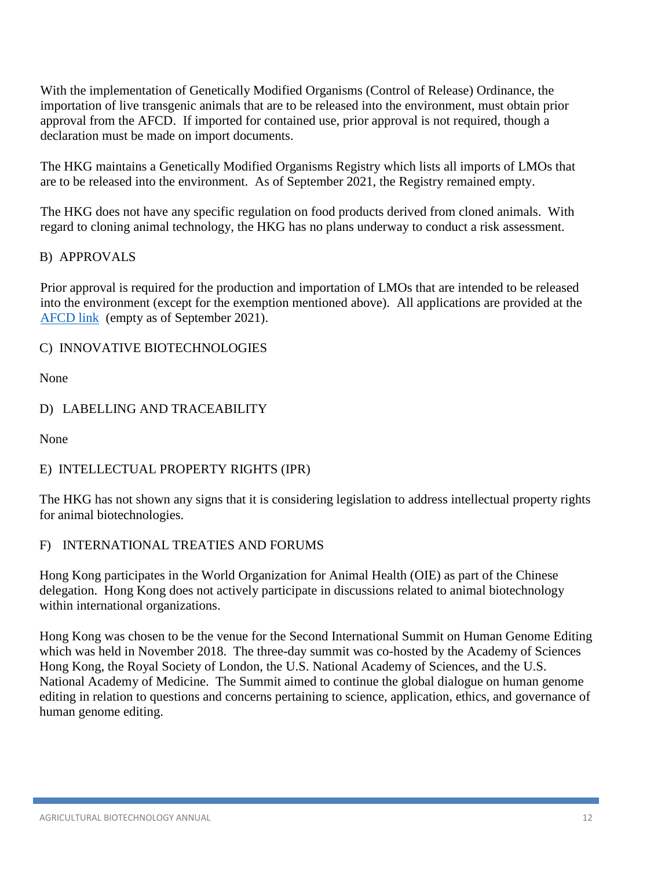With the implementation of Genetically Modified Organisms (Control of Release) Ordinance, the importation of live transgenic animals that are to be released into the environment, must obtain prior approval from the AFCD. If imported for contained use, prior approval is not required, though a declaration must be made on import documents.

The HKG maintains a Genetically Modified Organisms Registry which lists all imports of LMOs that are to be released into the environment. As of September 2021, the Registry remained empty.

The HKG does not have any specific regulation on food products derived from cloned animals. With regard to cloning animal technology, the HKG has no plans underway to conduct a risk assessment.

### B) APPROVALS

Prior approval is required for the production and importation of LMOs that are intended to be released into the environment (except for the exemption mentioned above). All applications are provided at the [AFCD link](https://www.afcd.gov.hk/english/conservation/con_gmo/Genetically_Modified_Organisms_Register/Applications.html) (empty as of September 2021).

### C) INNOVATIVE BIOTECHNOLOGIES

None

### D) LABELLING AND TRACEABILITY

None

# E) INTELLECTUAL PROPERTY RIGHTS (IPR)

The HKG has not shown any signs that it is considering legislation to address intellectual property rights for animal biotechnologies.

### F) INTERNATIONAL TREATIES AND FORUMS

Hong Kong participates in the World Organization for Animal Health (OIE) as part of the Chinese delegation. Hong Kong does not actively participate in discussions related to animal biotechnology within international organizations.

Hong Kong was chosen to be the venue for the Second International Summit on Human Genome Editing which was held in November 2018. The three-day summit was co-hosted by the Academy of Sciences Hong Kong, the Royal Society of London, the U.S. National Academy of Sciences, and the U.S. National Academy of Medicine. The Summit aimed to continue the global dialogue on human genome editing in relation to questions and concerns pertaining to science, application, ethics, and governance of human genome editing.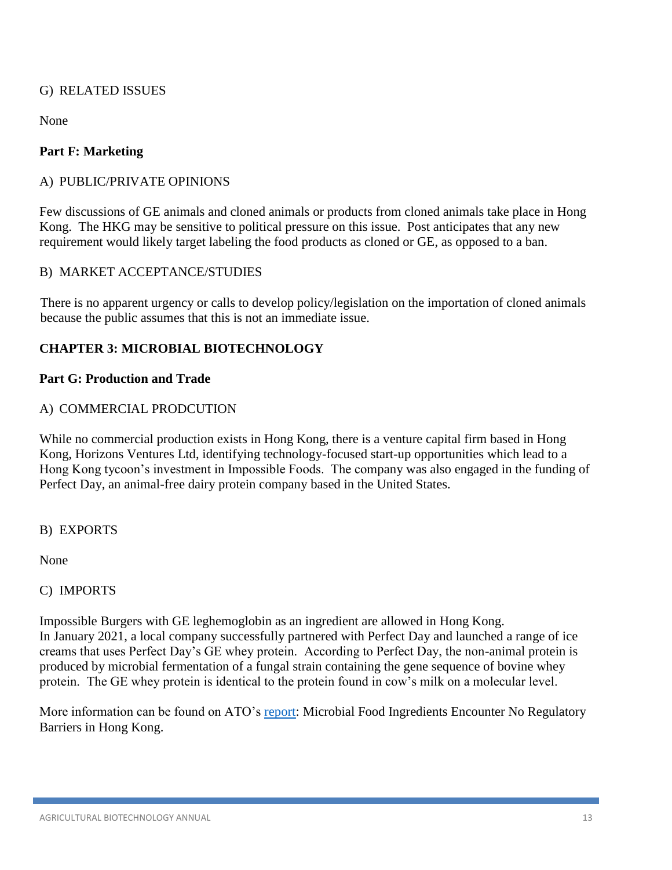### G) RELATED ISSUES

None

### <span id="page-13-0"></span>**Part F: Marketing**

### A) PUBLIC/PRIVATE OPINIONS

Few discussions of GE animals and cloned animals or products from cloned animals take place in Hong Kong. The HKG may be sensitive to political pressure on this issue. Post anticipates that any new requirement would likely target labeling the food products as cloned or GE, as opposed to a ban.

### B) MARKET ACCEPTANCE/STUDIES

There is no apparent urgency or calls to develop policy/legislation on the importation of cloned animals because the public assumes that this is not an immediate issue.

### <span id="page-13-1"></span>**CHAPTER 3: MICROBIAL BIOTECHNOLOGY**

#### <span id="page-13-2"></span>**Part G: Production and Trade**

### A) COMMERCIAL PRODCUTION

While no commercial production exists in Hong Kong, there is a venture capital firm based in Hong Kong, Horizons Ventures Ltd, identifying technology-focused start-up opportunities which lead to a Hong Kong tycoon's investment in Impossible Foods. The company was also engaged in the funding of Perfect Day, an animal-free dairy protein company based in the United States.

B) EXPORTS

None

### C) IMPORTS

Impossible Burgers with GE leghemoglobin as an ingredient are allowed in Hong Kong. In January 2021, a local company successfully partnered with Perfect Day and launched a range of ice creams that uses Perfect Day's GE whey protein. According to Perfect Day, the non-animal protein is produced by microbial fermentation of a fungal strain containing the gene sequence of bovine whey protein. The GE whey protein is identical to the protein found in cow's milk on a molecular level.

More information can be found on ATO's [report:](https://www.fas.usda.gov/data/hong-kong-microbial-food-ingredients-encounter-no-regulatory-barriers-hong-kong) Microbial Food Ingredients Encounter No Regulatory Barriers in Hong Kong.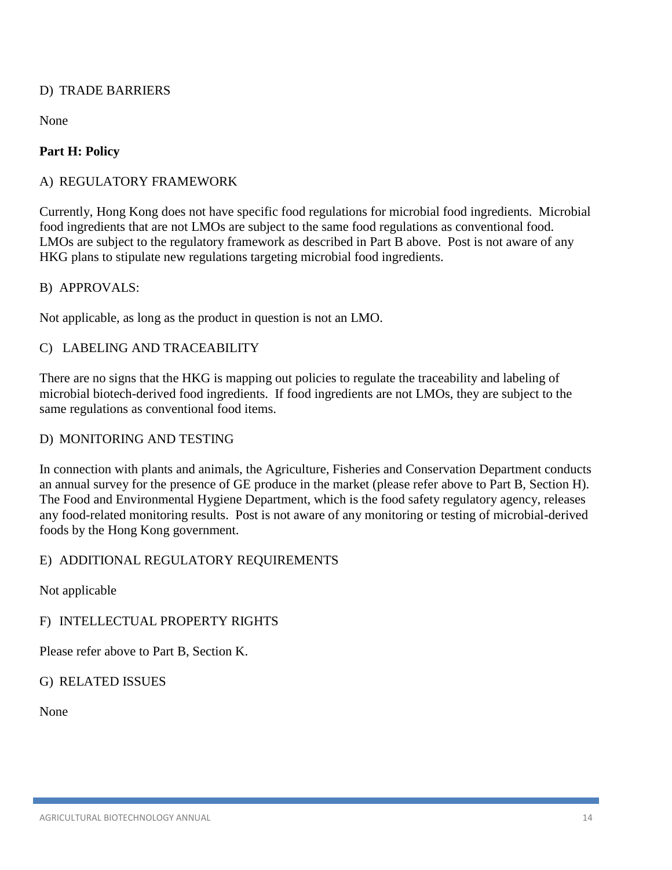### D) TRADE BARRIERS

None

# <span id="page-14-0"></span>**Part H: Policy**

### A) REGULATORY FRAMEWORK

Currently, Hong Kong does not have specific food regulations for microbial food ingredients. Microbial food ingredients that are not LMOs are subject to the same food regulations as conventional food. LMOs are subject to the regulatory framework as described in Part B above. Post is not aware of any HKG plans to stipulate new regulations targeting microbial food ingredients.

#### B) APPROVALS:

Not applicable, as long as the product in question is not an LMO.

### C) LABELING AND TRACEABILITY

There are no signs that the HKG is mapping out policies to regulate the traceability and labeling of microbial biotech-derived food ingredients. If food ingredients are not LMOs, they are subject to the same regulations as conventional food items.

#### D) MONITORING AND TESTING

In connection with plants and animals, the Agriculture, Fisheries and Conservation Department conducts an annual survey for the presence of GE produce in the market (please refer above to Part B, Section H). The Food and Environmental Hygiene Department, which is the food safety regulatory agency, releases any food-related monitoring results. Post is not aware of any monitoring or testing of microbial-derived foods by the Hong Kong government.

### E) ADDITIONAL REGULATORY REQUIREMENTS

Not applicable

### F) INTELLECTUAL PROPERTY RIGHTS

Please refer above to Part B, Section K.

### G) RELATED ISSUES

None